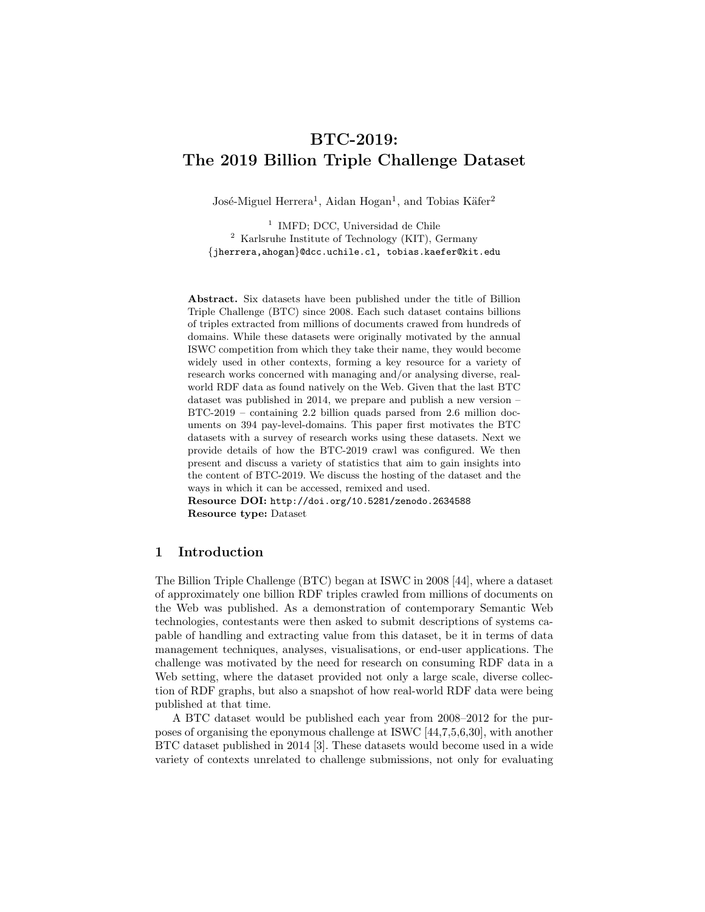# BTC-2019: The 2019 Billion Triple Challenge Dataset

José-Miguel Herrera<sup>1</sup>, Aidan Hogan<sup>1</sup>, and Tobias Käfer<sup>2</sup>

<sup>1</sup> IMFD; DCC, Universidad de Chile <sup>2</sup> Karlsruhe Institute of Technology (KIT), Germany {jherrera,ahogan}@dcc.uchile.cl, tobias.kaefer@kit.edu

Abstract. Six datasets have been published under the title of Billion Triple Challenge (BTC) since 2008. Each such dataset contains billions of triples extracted from millions of documents crawed from hundreds of domains. While these datasets were originally motivated by the annual ISWC competition from which they take their name, they would become widely used in other contexts, forming a key resource for a variety of research works concerned with managing and/or analysing diverse, realworld RDF data as found natively on the Web. Given that the last BTC dataset was published in 2014, we prepare and publish a new version – BTC-2019 – containing 2.2 billion quads parsed from 2.6 million documents on 394 pay-level-domains. This paper first motivates the BTC datasets with a survey of research works using these datasets. Next we provide details of how the BTC-2019 crawl was configured. We then present and discuss a variety of statistics that aim to gain insights into the content of BTC-2019. We discuss the hosting of the dataset and the ways in which it can be accessed, remixed and used.

Resource DOI: <http://doi.org/10.5281/zenodo.2634588> Resource type: Dataset

# 1 Introduction

The Billion Triple Challenge (BTC) began at ISWC in 2008 [\[44\]](#page-14-0), where a dataset of approximately one billion RDF triples crawled from millions of documents on the Web was published. As a demonstration of contemporary Semantic Web technologies, contestants were then asked to submit descriptions of systems capable of handling and extracting value from this dataset, be it in terms of data management techniques, analyses, visualisations, or end-user applications. The challenge was motivated by the need for research on consuming RDF data in a Web setting, where the dataset provided not only a large scale, diverse collection of RDF graphs, but also a snapshot of how real-world RDF data were being published at that time.

A BTC dataset would be published each year from 2008–2012 for the purposes of organising the eponymous challenge at ISWC [\[44,](#page-14-0)[7,](#page-12-0)[5,](#page-12-1)[6](#page-12-2)[,30\]](#page-13-0), with another BTC dataset published in 2014 [\[3\]](#page-12-3). These datasets would become used in a wide variety of contexts unrelated to challenge submissions, not only for evaluating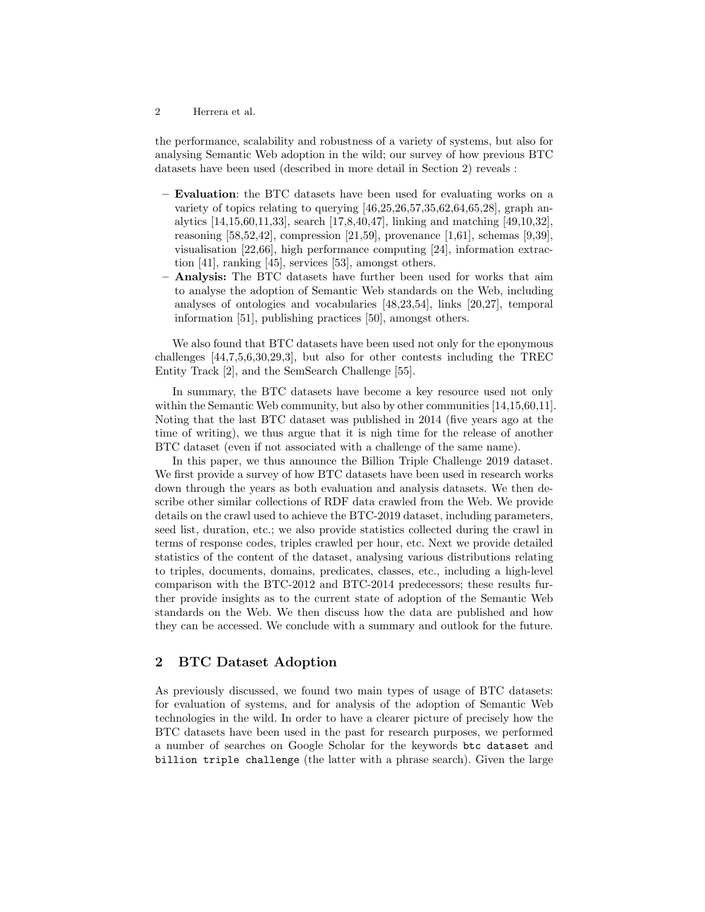the performance, scalability and robustness of a variety of systems, but also for analysing Semantic Web adoption in the wild; our survey of how previous BTC datasets have been used (described in more detail in Section [2\)](#page-1-0) reveals :

- Evaluation: the BTC datasets have been used for evaluating works on a variety of topics relating to querying [\[46,](#page-14-1)[25](#page-13-1)[,26,](#page-13-2)[57,](#page-15-0)[35,](#page-14-2)[62,](#page-15-1)[64,](#page-15-2)[65,](#page-15-3)[28\]](#page-13-3), graph analytics [\[14,](#page-13-4)[15,](#page-13-5)[60](#page-15-4)[,11,](#page-12-4)[33\]](#page-14-3), search [\[17,](#page-13-6)[8](#page-12-5)[,40,](#page-14-4)[47\]](#page-14-5), linking and matching [\[49,](#page-15-5)[10,](#page-12-6)[32\]](#page-14-6), reasoning [\[58,](#page-15-6)[52](#page-15-7)[,42\]](#page-14-7), compression [\[21](#page-13-7)[,59\]](#page-15-8), provenance [\[1,](#page-12-7)[61\]](#page-15-9), schemas [\[9,](#page-12-8)[39\]](#page-14-8), visualisation [\[22](#page-13-8)[,66\]](#page-15-10), high performance computing [\[24\]](#page-13-9), information extraction [\[41\]](#page-14-9), ranking [\[45\]](#page-14-10), services [\[53\]](#page-15-11), amongst others.
- Analysis: The BTC datasets have further been used for works that aim to analyse the adoption of Semantic Web standards on the Web, including analyses of ontologies and vocabularies [\[48,](#page-14-11)[23,](#page-13-10)[54\]](#page-15-12), links [\[20](#page-13-11)[,27\]](#page-13-12), temporal information [\[51\]](#page-15-13), publishing practices [\[50\]](#page-15-14), amongst others.

We also found that BTC datasets have been used not only for the eponymous challenges [\[44,](#page-14-0)[7](#page-12-0)[,5](#page-12-1)[,6,](#page-12-2)[30,](#page-13-0)[29,](#page-13-13)[3\]](#page-12-3), but also for other contests including the TREC Entity Track [\[2\]](#page-12-9), and the SemSearch Challenge [\[55\]](#page-15-15).

In summary, the BTC datasets have become a key resource used not only within the Semantic Web community, but also by other communities [\[14,](#page-13-4)[15,](#page-13-5)[60,](#page-15-4)[11\]](#page-12-4). Noting that the last BTC dataset was published in 2014 (five years ago at the time of writing), we thus argue that it is nigh time for the release of another BTC dataset (even if not associated with a challenge of the same name).

In this paper, we thus announce the Billion Triple Challenge 2019 dataset. We first provide a survey of how BTC datasets have been used in research works down through the years as both evaluation and analysis datasets. We then describe other similar collections of RDF data crawled from the Web. We provide details on the crawl used to achieve the BTC-2019 dataset, including parameters, seed list, duration, etc.; we also provide statistics collected during the crawl in terms of response codes, triples crawled per hour, etc. Next we provide detailed statistics of the content of the dataset, analysing various distributions relating to triples, documents, domains, predicates, classes, etc., including a high-level comparison with the BTC-2012 and BTC-2014 predecessors; these results further provide insights as to the current state of adoption of the Semantic Web standards on the Web. We then discuss how the data are published and how they can be accessed. We conclude with a summary and outlook for the future.

# <span id="page-1-0"></span>2 BTC Dataset Adoption

As previously discussed, we found two main types of usage of BTC datasets: for evaluation of systems, and for analysis of the adoption of Semantic Web technologies in the wild. In order to have a clearer picture of precisely how the BTC datasets have been used in the past for research purposes, we performed a number of searches on Google Scholar for the keywords btc dataset and billion triple challenge (the latter with a phrase search). Given the large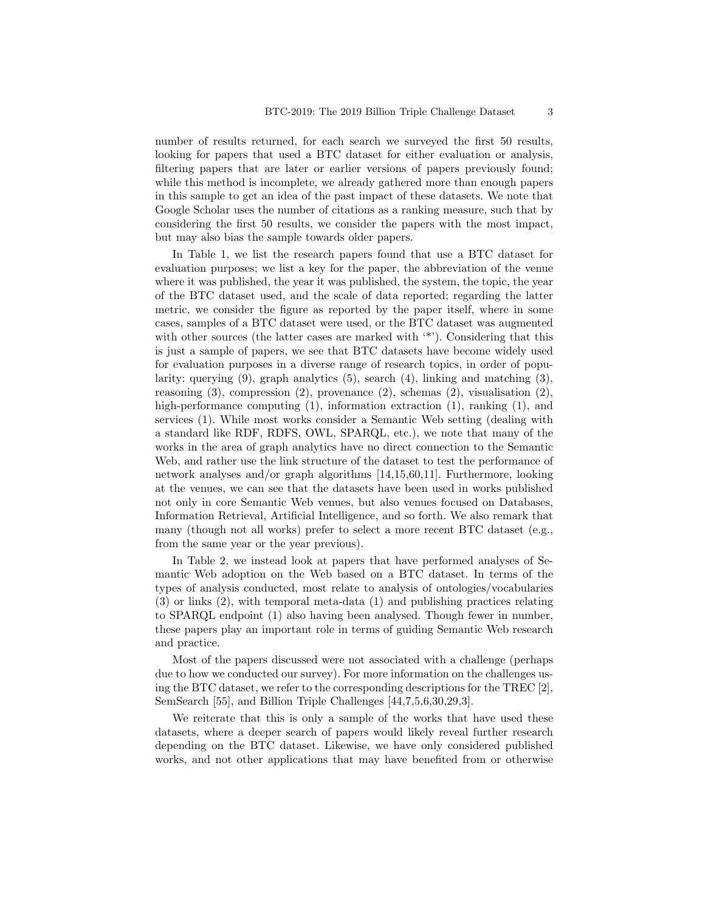number of results returned, for each search we surveyed the first 50 results, looking for papers that used a BTC dataset for either evaluation or analysis, filtering papers that are later or earlier versions of papers previously found; while this method is incomplete, we already gathered more than enough papers in this sample to get an idea of the past impact of these datasets. We note that Google Scholar uses the number of citations as a ranking measure, such that by considering the first 50 results, we consider the papers with the most impact, but may also bias the sample towards older papers.

In Table [1,](#page-3-0) we list the research papers found that use a BTC dataset for evaluation purposes; we list a key for the paper, the abbreviation of the venue where it was published, the year it was published, the system, the topic, the year of the BTC dataset used, and the scale of data reported; regarding the latter metric, we consider the figure as reported by the paper itself, where in some cases, samples of a BTC dataset were used, or the BTC dataset was augmented with other sources (the latter cases are marked with  $\langle x \rangle$ ). Considering that this is just a sample of papers, we see that BTC datasets have become widely used for evaluation purposes in a diverse range of research topics, in order of popularity: querying (9), graph analytics (5), search (4), linking and matching (3), reasoning  $(3)$ , compression  $(2)$ , provenance  $(2)$ , schemas  $(2)$ , visualisation  $(2)$ , high-performance computing (1), information extraction (1), ranking (1), and services (1). While most works consider a Semantic Web setting (dealing with a standard like RDF, RDFS, OWL, SPARQL, etc.), we note that many of the works in the area of graph analytics have no direct connection to the Semantic Web, and rather use the link structure of the dataset to test the performance of network analyses and/or graph algorithms [\[14,](#page-13-4)[15](#page-13-5)[,60,](#page-15-4)[11\]](#page-12-4). Furthermore, looking at the venues, we can see that the datasets have been used in works published not only in core Semantic Web venues, but also venues focused on Databases, Information Retrieval, Artificial Intelligence, and so forth. We also remark that many (though not all works) prefer to select a more recent BTC dataset (e.g., from the same year or the year previous).

In Table [2,](#page-4-0) we instead look at papers that have performed analyses of Semantic Web adoption on the Web based on a BTC dataset. In terms of the types of analysis conducted, most relate to analysis of ontologies/vocabularies (3) or links (2), with temporal meta-data (1) and publishing practices relating to SPARQL endpoint (1) also having been analysed. Though fewer in number, these papers play an important role in terms of guiding Semantic Web research and practice.

Most of the papers discussed were not associated with a challenge (perhaps due to how we conducted our survey). For more information on the challenges using the BTC dataset, we refer to the corresponding descriptions for the TREC [\[2\]](#page-12-9), SemSearch [\[55\]](#page-15-15), and Billion Triple Challenges [\[44](#page-14-0)[,7,](#page-12-0)[5,](#page-12-1)[6,](#page-12-2)[30](#page-13-0)[,29,](#page-13-13)[3\]](#page-12-3).

We reiterate that this is only a sample of the works that have used these datasets, where a deeper search of papers would likely reveal further research depending on the BTC dataset. Likewise, we have only considered published works, and not other applications that may have benefited from or otherwise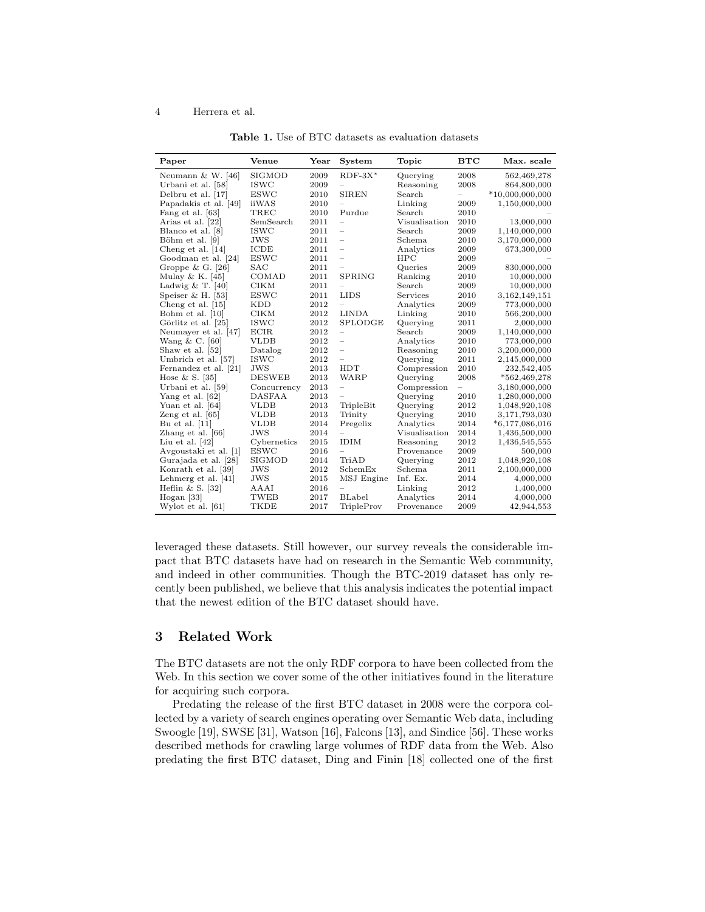| Paper                 | Venue         | Year | System                   | Topic         | <b>BTC</b>               | Max. scale        |
|-----------------------|---------------|------|--------------------------|---------------|--------------------------|-------------------|
| Neumann & W. $[46]$   | SIGMOD        | 2009 | $RDF-3X^*$               | Querying      | 2008                     | 562,469,278       |
| Urbani et al. [58]    | <b>ISWC</b>   | 2009 | $\overline{\phantom{0}}$ | Reasoning     | 2008                     | 864,800,000       |
| Delbru et al. [17]    | <b>ESWC</b>   | 2010 | <b>SIREN</b>             | Search        | $\overline{\phantom{0}}$ | $*10,000,000,000$ |
| Papadakis et al. [49] | iiWAS         | 2010 | $\overline{\phantom{0}}$ | Linking       | 2009                     | 1,150,000,000     |
| Fang et al. [63]      | TREC          | 2010 | Purdue                   | Search        | 2010                     |                   |
| Arias et al. [22]     | SemSearch     | 2011 | $\overline{\phantom{0}}$ | Visualisation | 2010                     | 13,000,000        |
| Blanco et al. [8]     | <b>ISWC</b>   | 2011 | $\overline{\phantom{0}}$ | Search        | 2009                     | 1,140,000,000     |
| Böhm et al. [9]       | JWS           | 2011 | $\overline{\phantom{0}}$ | Schema        | 2010                     | 3,170,000,000     |
| Cheng et al. $[14]$   | ICDE          | 2011 | $\overline{\phantom{0}}$ | Analytics     | 2009                     | 673,300,000       |
| Goodman et al. [24]   | <b>ESWC</b>   | 2011 | $\overline{\phantom{0}}$ | <b>HPC</b>    | 2009                     |                   |
| Groppe & G. $[26]$    | <b>SAC</b>    | 2011 | $\overline{\phantom{0}}$ | Queries       | 2009                     | 830,000,000       |
| Mulay & K. $[45]$     | COMAD         | 2011 | SPRING                   | Ranking       | 2010                     | 10,000,000        |
| Ladwig & T. $[40]$    | <b>CIKM</b>   | 2011 | $\overline{\phantom{0}}$ | Search        | 2009                     | 10,000,000        |
| Speiser & H. $[53]$   | <b>ESWC</b>   | 2011 | <b>LIDS</b>              | Services      | 2010                     | 3,162,149,151     |
| Cheng et al. $[15]$   | <b>KDD</b>    | 2012 | $\overline{\phantom{0}}$ | Analytics     | 2009                     | 773,000,000       |
| Bohm et al. [10]      | <b>CIKM</b>   | 2012 | <b>LINDA</b>             | Linking       | 2010                     | 566,200,000       |
| Görlitz et al. [25]   | <b>ISWC</b>   | 2012 | <b>SPLODGE</b>           | Querying      | 2011                     | 2,000,000         |
| Neumayer et al. [47]  | <b>ECIR</b>   | 2012 | $\overline{\phantom{0}}$ | Search        | 2009                     | 1,140,000,000     |
| Wang & C. $[60]$      | <b>VLDB</b>   | 2012 | $\overline{\phantom{0}}$ | Analytics     | 2010                     | 773,000,000       |
| Shaw et al. [52]      | Datalog       | 2012 | $\overline{\phantom{0}}$ | Reasoning     | 2010                     | 3,200,000,000     |
| Umbrich et al. [57]   | ISWC          | 2012 | $\overline{\phantom{0}}$ | Querving      | 2011                     | 2,145,000,000     |
| Fernandez et al. [21] | JWS           | 2013 | HDT                      | Compression   | 2010                     | 232,542,405       |
| Hose & S. $[35]$      | <b>DESWEB</b> | 2013 | <b>WARP</b>              | Querying      | 2008                     | $*562,469,278$    |
| Urbani et al. [59]    | Concurrency   | 2013 | $\overline{\phantom{0}}$ | Compression   | $\overline{\phantom{0}}$ | 3,180,000,000     |
| Yang et al. $[62]$    | <b>DASFAA</b> | 2013 |                          | Querying      | 2010                     | 1,280,000,000     |
| Yuan et al. [64]      | <b>VLDB</b>   | 2013 | TripleBit                | Querying      | 2012                     | 1,048,920,108     |
| Zeng et al. $[65]$    | <b>VLDB</b>   | 2013 | Trinity                  | Querying      | 2010                     | 3,171,793,030     |
| Bu et al. $[11]$      | <b>VLDB</b>   | 2014 | Pregelix                 | Analytics     | 2014                     | $*6,177,086,016$  |
| Zhang et al. $[66]$   | <b>JWS</b>    | 2014 | $\overline{\phantom{0}}$ | Visualisation | 2014                     | 1,436,500,000     |
| Liu et al. $[42]$     | Cybernetics   | 2015 | <b>IDIM</b>              | Reasoning     | 2012                     | 1,436,545,555     |
| Avgoustaki et al. [1] | <b>ESWC</b>   | 2016 | $\overline{\phantom{0}}$ | Provenance    | 2009                     | 500,000           |
| Gurajada et al. [28]  | SIGMOD        | 2014 | TriAD                    | Querying      | 2012                     | 1,048,920,108     |
| Konrath et al. [39]   | JWS           | 2012 | SchemEx                  | Schema        | 2011                     | 2,100,000,000     |
| Lehmerg et al. [41]   | JWS           | 2015 | MSJ Engine               | Inf. Ex.      | 2014                     | 4,000,000         |
| Heflin & S. $[32]$    | AAAI          | 2016 |                          | Linking       | 2012                     | 1,400,000         |
| Hogan $[33]$          | <b>TWEB</b>   | 2017 | BLabel                   | Analytics     | 2014                     | 4,000,000         |
| Wylot et al. [61]     | <b>TKDE</b>   | 2017 | TripleProv               | Provenance    | 2009                     | 42,944,553        |

<span id="page-3-0"></span>Table 1. Use of BTC datasets as evaluation datasets

leveraged these datasets. Still however, our survey reveals the considerable impact that BTC datasets have had on research in the Semantic Web community, and indeed in other communities. Though the BTC-2019 dataset has only recently been published, we believe that this analysis indicates the potential impact that the newest edition of the BTC dataset should have.

# 3 Related Work

The BTC datasets are not the only RDF corpora to have been collected from the Web. In this section we cover some of the other initiatives found in the literature for acquiring such corpora.

Predating the release of the first BTC dataset in 2008 were the corpora collected by a variety of search engines operating over Semantic Web data, including Swoogle [\[19\]](#page-13-14), SWSE [\[31\]](#page-14-12), Watson [\[16\]](#page-13-15), Falcons [\[13\]](#page-12-10), and Sindice [\[56\]](#page-15-17). These works described methods for crawling large volumes of RDF data from the Web. Also predating the first BTC dataset, Ding and Finin [\[18\]](#page-13-16) collected one of the first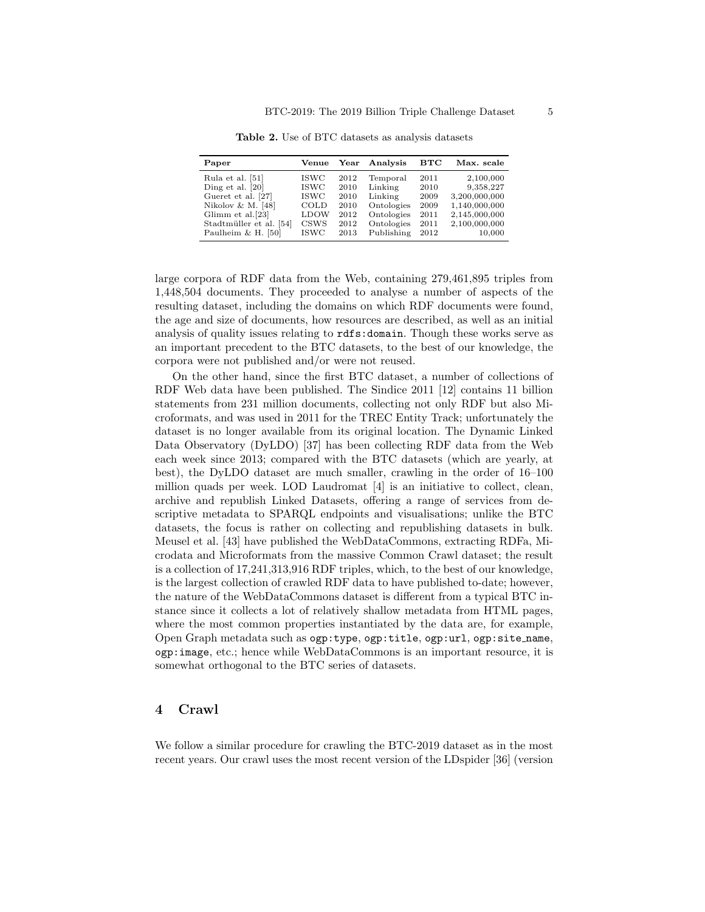| Paper                   | Venue       |      | Year Analysis | $_{\rm BTC}$ | Max. scale    |
|-------------------------|-------------|------|---------------|--------------|---------------|
| Rula et al. [51]        | <b>ISWC</b> | 2012 | Temporal      | 2011         | 2,100,000     |
| Ding et al. $[20]$      | <b>ISWC</b> | 2010 | Linking       | 2010         | 9,358,227     |
| Gueret et al. [27]      | <b>ISWC</b> | 2010 | Linking       | 2009         | 3,200,000,000 |
| Nikolov & M. $[48]$     | COLD        | 2010 | Ontologies    | 2009         | 1,140,000,000 |
| Glimm et al.[23]        | LDOW        | 2012 | Ontologies    | 2011         | 2,145,000,000 |
| Stadtmüller et al. [54] | CSWS        | 2012 | Ontologies    | 2011         | 2,100,000,000 |
| Paulheim & H. $[50]$    | <b>ISWC</b> | 2013 | Publishing    | 2012         | 10,000        |

<span id="page-4-0"></span>Table 2. Use of BTC datasets as analysis datasets

large corpora of RDF data from the Web, containing 279,461,895 triples from 1,448,504 documents. They proceeded to analyse a number of aspects of the resulting dataset, including the domains on which RDF documents were found, the age and size of documents, how resources are described, as well as an initial analysis of quality issues relating to rdfs:domain. Though these works serve as an important precedent to the BTC datasets, to the best of our knowledge, the corpora were not published and/or were not reused.

On the other hand, since the first BTC dataset, a number of collections of RDF Web data have been published. The Sindice 2011 [\[12\]](#page-12-11) contains 11 billion statements from 231 million documents, collecting not only RDF but also Microformats, and was used in 2011 for the TREC Entity Track; unfortunately the dataset is no longer available from its original location. The Dynamic Linked Data Observatory (DyLDO) [\[37\]](#page-14-13) has been collecting RDF data from the Web each week since 2013; compared with the BTC datasets (which are yearly, at best), the DyLDO dataset are much smaller, crawling in the order of 16–100 million quads per week. LOD Laudromat [\[4\]](#page-12-12) is an initiative to collect, clean, archive and republish Linked Datasets, offering a range of services from descriptive metadata to SPARQL endpoints and visualisations; unlike the BTC datasets, the focus is rather on collecting and republishing datasets in bulk. Meusel et al. [\[43\]](#page-14-14) have published the WebDataCommons, extracting RDFa, Microdata and Microformats from the massive Common Crawl dataset; the result is a collection of 17,241,313,916 RDF triples, which, to the best of our knowledge, is the largest collection of crawled RDF data to have published to-date; however, the nature of the WebDataCommons dataset is different from a typical BTC instance since it collects a lot of relatively shallow metadata from HTML pages, where the most common properties instantiated by the data are, for example, Open Graph metadata such as ogp:type, ogp:title, ogp:url, ogp:site name, ogp:image, etc.; hence while WebDataCommons is an important resource, it is somewhat orthogonal to the BTC series of datasets.

### 4 Crawl

We follow a similar procedure for crawling the BTC-2019 dataset as in the most recent years. Our crawl uses the most recent version of the LDspider [\[36\]](#page-14-15) (version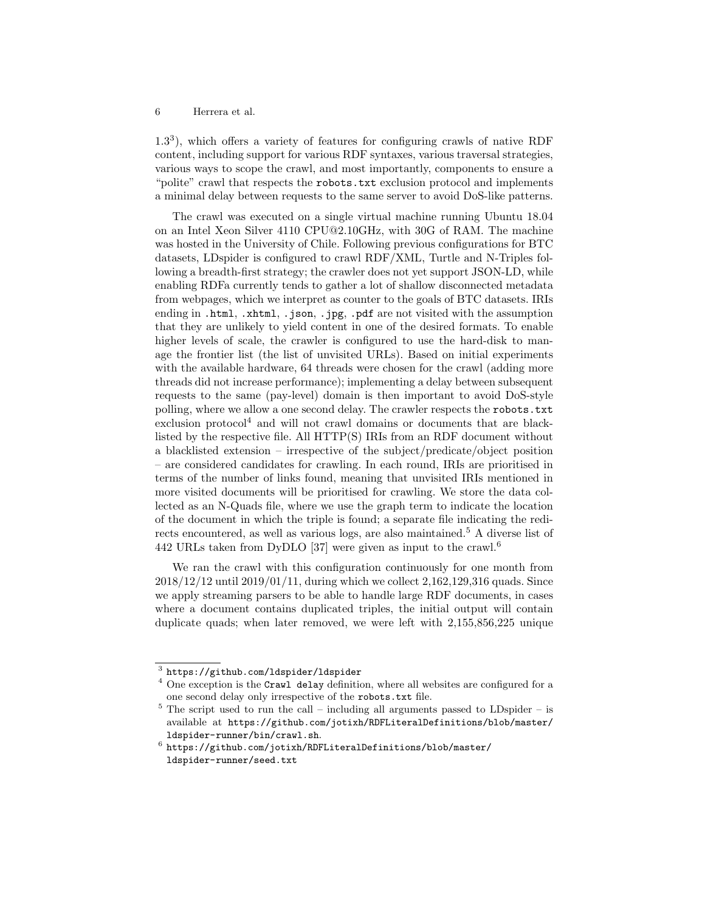1.3[3](#page-5-0) ), which offers a variety of features for configuring crawls of native RDF content, including support for various RDF syntaxes, various traversal strategies, various ways to scope the crawl, and most importantly, components to ensure a "polite" crawl that respects the robots.txt exclusion protocol and implements a minimal delay between requests to the same server to avoid DoS-like patterns.

The crawl was executed on a single virtual machine running Ubuntu 18.04 on an Intel Xeon Silver 4110 CPU@2.10GHz, with 30G of RAM. The machine was hosted in the University of Chile. Following previous configurations for BTC datasets, LDspider is configured to crawl RDF/XML, Turtle and N-Triples following a breadth-first strategy; the crawler does not yet support JSON-LD, while enabling RDFa currently tends to gather a lot of shallow disconnected metadata from webpages, which we interpret as counter to the goals of BTC datasets. IRIs ending in .html, .xhtml, .json, .jpg, .pdf are not visited with the assumption that they are unlikely to yield content in one of the desired formats. To enable higher levels of scale, the crawler is configured to use the hard-disk to manage the frontier list (the list of unvisited URLs). Based on initial experiments with the available hardware, 64 threads were chosen for the crawl (adding more threads did not increase performance); implementing a delay between subsequent requests to the same (pay-level) domain is then important to avoid DoS-style polling, where we allow a one second delay. The crawler respects the robots.txt exclusion protocol $4$  and will not crawl domains or documents that are blacklisted by the respective file. All HTTP(S) IRIs from an RDF document without a blacklisted extension – irrespective of the subject/predicate/object position – are considered candidates for crawling. In each round, IRIs are prioritised in terms of the number of links found, meaning that unvisited IRIs mentioned in more visited documents will be prioritised for crawling. We store the data collected as an N-Quads file, where we use the graph term to indicate the location of the document in which the triple is found; a separate file indicating the redi-rects encountered, as well as various logs, are also maintained.<sup>[5](#page-5-2)</sup> A diverse list of 442 URLs taken from DyDLO [\[37\]](#page-14-13) were given as input to the crawl.[6](#page-5-3)

We ran the crawl with this configuration continuously for one month from 2018/12/12 until 2019/01/11, during which we collect 2,162,129,316 quads. Since we apply streaming parsers to be able to handle large RDF documents, in cases where a document contains duplicated triples, the initial output will contain duplicate quads; when later removed, we were left with 2,155,856,225 unique

<span id="page-5-0"></span><sup>3</sup> <https://github.com/ldspider/ldspider>

<span id="page-5-1"></span><sup>&</sup>lt;sup>4</sup> One exception is the Crawl delay definition, where all websites are configured for a one second delay only irrespective of the robots.txt file.

<span id="page-5-2"></span> $5$  The script used to run the call – including all arguments passed to LDspider – is available at [https://github.com/jotixh/RDFLiteralDefinitions/blob/master/](https://github.com/jotixh/RDFLiteralDefinitions/blob/master/ldspider-runner/bin/crawl.sh) [ldspider-runner/bin/crawl.sh](https://github.com/jotixh/RDFLiteralDefinitions/blob/master/ldspider-runner/bin/crawl.sh).

<span id="page-5-3"></span> $^6$ [https://github.com/jotixh/RDFLiteralDefinitions/blob/master/](https://github.com/jotixh/RDFLiteralDefinitions/blob/master/ldspider-runner/seed.txt) [ldspider-runner/seed.txt](https://github.com/jotixh/RDFLiteralDefinitions/blob/master/ldspider-runner/seed.txt)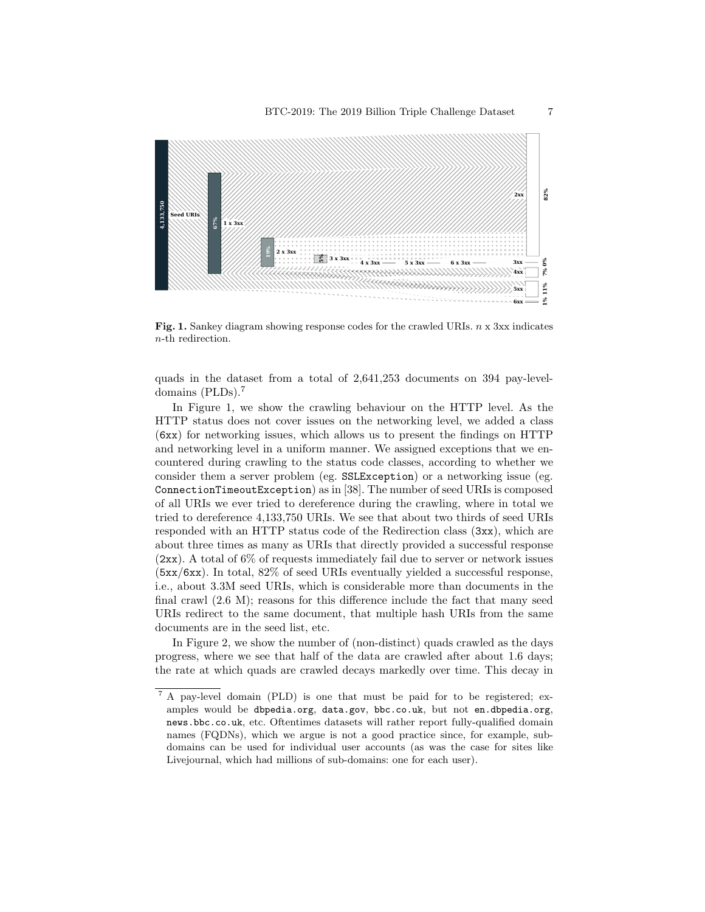

<span id="page-6-1"></span>**Fig. 1.** Sankey diagram showing response codes for the crawled URIs.  $n \times 3 \times x$  indicates n-th redirection.

quads in the dataset from a total of 2,641,253 documents on 394 pay-leveldomains (PLDs).[7](#page-6-0)

In Figure [1,](#page-6-1) we show the crawling behaviour on the HTTP level. As the HTTP status does not cover issues on the networking level, we added a class (6xx) for networking issues, which allows us to present the findings on HTTP and networking level in a uniform manner. We assigned exceptions that we encountered during crawling to the status code classes, according to whether we consider them a server problem (eg. SSLException) or a networking issue (eg. ConnectionTimeoutException) as in [\[38\]](#page-14-16). The number of seed URIs is composed of all URIs we ever tried to dereference during the crawling, where in total we tried to dereference 4,133,750 URIs. We see that about two thirds of seed URIs responded with an HTTP status code of the Redirection class (3xx), which are about three times as many as URIs that directly provided a successful response (2xx). A total of 6% of requests immediately fail due to server or network issues (5xx/6xx). In total, 82% of seed URIs eventually yielded a successful response, i.e., about 3.3M seed URIs, which is considerable more than documents in the final crawl (2.6 M); reasons for this difference include the fact that many seed URIs redirect to the same document, that multiple hash URIs from the same documents are in the seed list, etc.

In Figure [2,](#page-7-0) we show the number of (non-distinct) quads crawled as the days progress, where we see that half of the data are crawled after about 1.6 days; the rate at which quads are crawled decays markedly over time. This decay in

<span id="page-6-0"></span><sup>7</sup> A pay-level domain (PLD) is one that must be paid for to be registered; examples would be dbpedia.org, data.gov, bbc.co.uk, but not en.dbpedia.org, news.bbc.co.uk, etc. Oftentimes datasets will rather report fully-qualified domain names (FQDNs), which we argue is not a good practice since, for example, subdomains can be used for individual user accounts (as was the case for sites like Livejournal, which had millions of sub-domains: one for each user).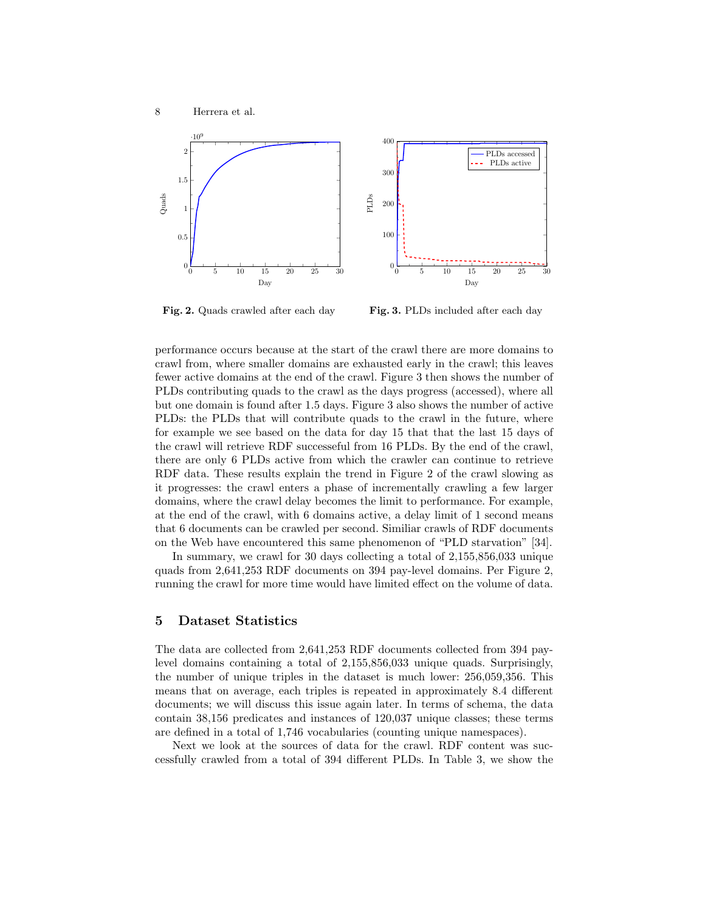

<span id="page-7-0"></span>Fig. 2. Quads crawled after each day

<span id="page-7-1"></span>Fig. 3. PLDs included after each day

performance occurs because at the start of the crawl there are more domains to crawl from, where smaller domains are exhausted early in the crawl; this leaves fewer active domains at the end of the crawl. Figure [3](#page-7-1) then shows the number of PLDs contributing quads to the crawl as the days progress (accessed), where all but one domain is found after 1.5 days. Figure [3](#page-7-1) also shows the number of active PLDs: the PLDs that will contribute quads to the crawl in the future, where for example we see based on the data for day 15 that that the last 15 days of the crawl will retrieve RDF successeful from 16 PLDs. By the end of the crawl, there are only 6 PLDs active from which the crawler can continue to retrieve RDF data. These results explain the trend in Figure [2](#page-7-0) of the crawl slowing as it progresses: the crawl enters a phase of incrementally crawling a few larger domains, where the crawl delay becomes the limit to performance. For example, at the end of the crawl, with 6 domains active, a delay limit of 1 second means that 6 documents can be crawled per second. Similiar crawls of RDF documents on the Web have encountered this same phenomenon of "PLD starvation" [\[34\]](#page-14-17).

In summary, we crawl for 30 days collecting a total of 2,155,856,033 unique quads from 2,641,253 RDF documents on 394 pay-level domains. Per Figure [2,](#page-7-0) running the crawl for more time would have limited effect on the volume of data.

# 5 Dataset Statistics

The data are collected from 2,641,253 RDF documents collected from 394 paylevel domains containing a total of 2,155,856,033 unique quads. Surprisingly, the number of unique triples in the dataset is much lower: 256,059,356. This means that on average, each triples is repeated in approximately 8.4 different documents; we will discuss this issue again later. In terms of schema, the data contain 38,156 predicates and instances of 120,037 unique classes; these terms are defined in a total of 1,746 vocabularies (counting unique namespaces).

Next we look at the sources of data for the crawl. RDF content was successfully crawled from a total of 394 different PLDs. In Table [3,](#page-9-0) we show the

8 Herrera et al.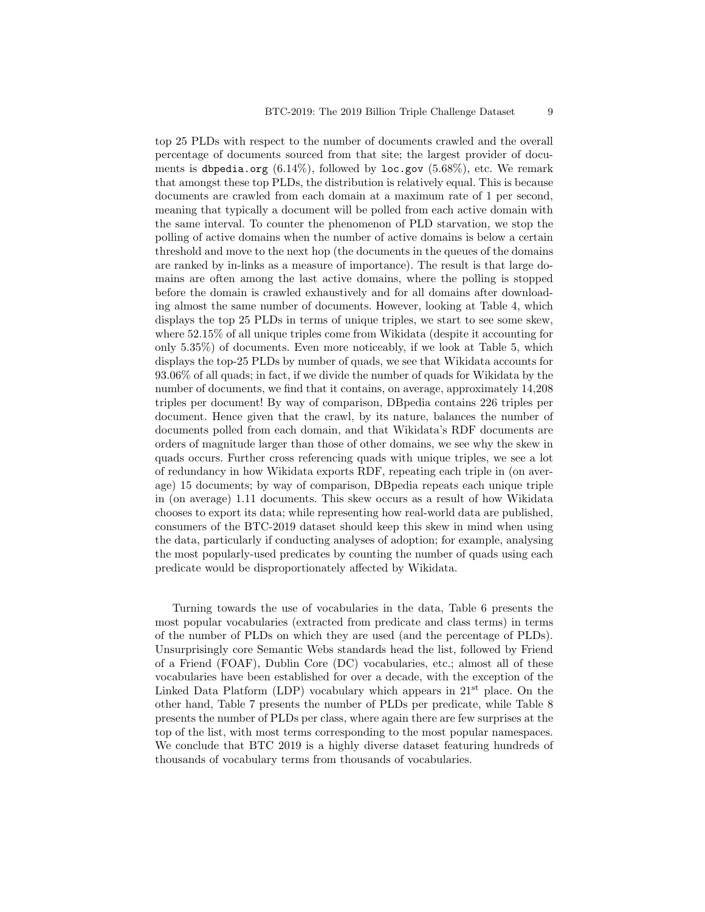top 25 PLDs with respect to the number of documents crawled and the overall percentage of documents sourced from that site; the largest provider of documents is dbpedia.org  $(6.14\%)$ , followed by loc.gov  $(5.68\%)$ , etc. We remark that amongst these top PLDs, the distribution is relatively equal. This is because documents are crawled from each domain at a maximum rate of 1 per second, meaning that typically a document will be polled from each active domain with the same interval. To counter the phenomenon of PLD starvation, we stop the polling of active domains when the number of active domains is below a certain threshold and move to the next hop (the documents in the queues of the domains are ranked by in-links as a measure of importance). The result is that large domains are often among the last active domains, where the polling is stopped before the domain is crawled exhaustively and for all domains after downloading almost the same number of documents. However, looking at Table [4,](#page-9-1) which displays the top 25 PLDs in terms of unique triples, we start to see some skew, where 52.15% of all unique triples come from Wikidata (despite it accounting for only 5.35%) of documents. Even more noticeably, if we look at Table [5,](#page-9-2) which displays the top-25 PLDs by number of quads, we see that Wikidata accounts for 93.06% of all quads; in fact, if we divide the number of quads for Wikidata by the number of documents, we find that it contains, on average, approximately 14,208 triples per document! By way of comparison, DBpedia contains 226 triples per document. Hence given that the crawl, by its nature, balances the number of documents polled from each domain, and that Wikidata's RDF documents are orders of magnitude larger than those of other domains, we see why the skew in quads occurs. Further cross referencing quads with unique triples, we see a lot of redundancy in how Wikidata exports RDF, repeating each triple in (on average) 15 documents; by way of comparison, DBpedia repeats each unique triple in (on average) 1.11 documents. This skew occurs as a result of how Wikidata chooses to export its data; while representing how real-world data are published, consumers of the BTC-2019 dataset should keep this skew in mind when using the data, particularly if conducting analyses of adoption; for example, analysing the most popularly-used predicates by counting the number of quads using each predicate would be disproportionately affected by Wikidata.

Turning towards the use of vocabularies in the data, Table [6](#page-9-3) presents the most popular vocabularies (extracted from predicate and class terms) in terms of the number of PLDs on which they are used (and the percentage of PLDs). Unsurprisingly core Semantic Webs standards head the list, followed by Friend of a Friend (FOAF), Dublin Core (DC) vocabularies, etc.; almost all of these vocabularies have been established for over a decade, with the exception of the Linked Data Platform (LDP) vocabulary which appears in  $21<sup>st</sup>$  place. On the other hand, Table [7](#page-9-4) presents the number of PLDs per predicate, while Table [8](#page-9-5) presents the number of PLDs per class, where again there are few surprises at the top of the list, with most terms corresponding to the most popular namespaces. We conclude that BTC 2019 is a highly diverse dataset featuring hundreds of thousands of vocabulary terms from thousands of vocabularies.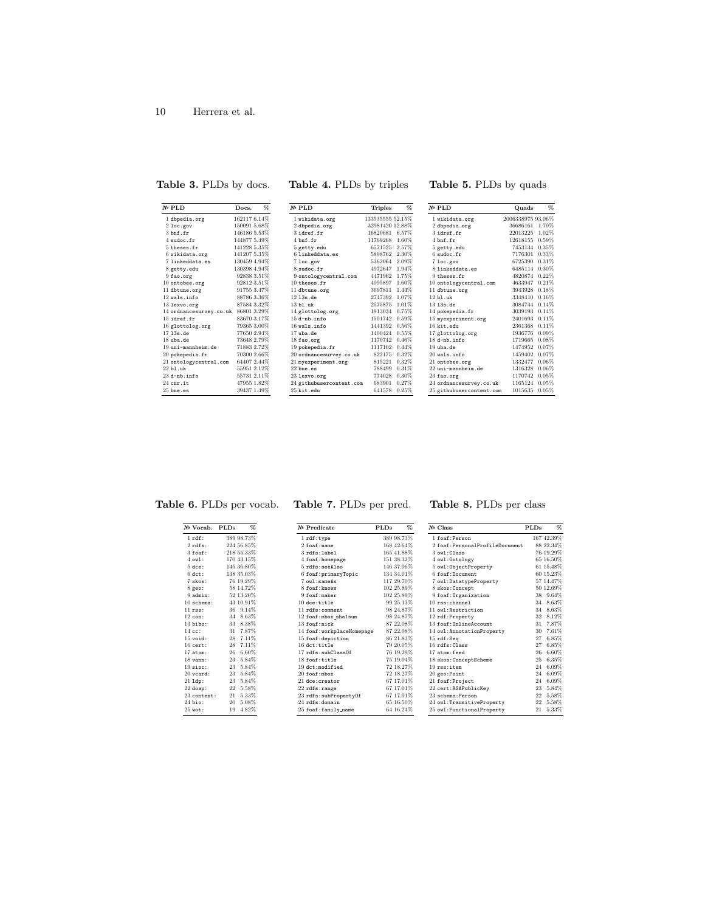<span id="page-9-0"></span>Table 3. PLDs by docs.

<span id="page-9-1"></span>Table 4. PLDs by triples

<span id="page-9-2"></span>Table 5. PLDs by quads

| $N2$ PLD                | Docs.        | % | $N2$ PLD                 | <b>Triples</b>   | $\%$     | $N2$ PLD                 | Ouads             | $\%$     |
|-------------------------|--------------|---|--------------------------|------------------|----------|--------------------------|-------------------|----------|
| 1 dbpedia.org           | 162117 6.14% |   | l wikidata.org           | 133535555 52.15% |          | l wikidata.org           | 2006338975 93.06% |          |
| $2$ loc.gov             | 150091 5.68% |   | 2 dbpedia.org            | 32981420 12.88%  |          | 2 dbpedia.org            | 36686161 1.70%    |          |
| 3 bnf.fr                | 146186 5.53% |   | $3$ idref.fr             | 16820681 6.57%   |          | $3$ idref. $fr$          | 22013225          | 1.02%    |
| $4$ sudoc.fr            | 144877 5.49% |   | 4 bnf.fr                 | 11769268         | 4.60%    | 4 bnf.fr                 | 12618155          | 0.59%    |
| $5$ theses $fr$         | 141228 5.35% |   | $5$ getty.edu            | 6571525 2.57%    |          | 5 getty.edu              | 7453134 0.35%     |          |
| 6 wikidata.org          | 141207 5.35% |   | 6 linkeddata.es          | 5898762          | 2.30%    | $6$ sudoc.fr             | 7176301           | 0.33%    |
| 71inkeddata.es          | 130459 4.94% |   | 7 loc.gov                | 5362064          | 2.09%    | 7 loc.gov                | 6725390           | 0.31%    |
| 8 getty.edu             | 130398 4.94% |   | 8 sudoc.fr               | 4972647          | 1.94%    | 8 linkeddata.es          | 6485114           | $0.30\%$ |
| 9 fao.org               | 92838 3.51%  |   | 9 ontologycentral.com    | 4471962          | 1.75%    | 9 theses fr              | 4820874 0.22%     |          |
| 10 ontobee.org          | 92812 3.51%  |   | 10 theses.fr             | 4095897          | 1.60%    | 10 ontologycentral.com   | 4633947           | 0.21%    |
| 11 dbtune.org           | 91755 3.47%  |   | 11 dbtune.org            | 3697811          | 1.44%    | 11 dbtune.org            | 3943928           | 0.18%    |
| $12$ wals, info         | 88786 3.36%  |   | $12.13s$ .de             | 2747392          | 1.07%    | 12h1.nk                  | 3348410           | 0.16%    |
| 13 lexvo.org            | 87584 3.32%  |   | 13h1.nk                  | 2575875          | 1.01%    | 13 13s.de                | 3084744 0.14%     |          |
| 14 ordnancesurvey.co.uk | 86801 3.29%  |   | 14 glottolog.org         | 1913034 0.75%    |          | 14 pokepedia.fr          | 3039193           | 0.14%    |
| 15 idref.fr             | 83670 3.17%  |   | $15$ d-nb. info          | 1501742 0.59%    |          | 15 mvexperiment.org      | 2401693           | 0.11%    |
| 16 glottolog.org        | 79365 3.00%  |   | 16 wals.info             | 1441392 0.56%    |          | 16 kit.edu               | 2361368           | 0.11%    |
| $17.13s$ .de            | 77650 2.94%  |   | 17 uba.de                | 1400424 0.55%    |          | 17 glottolog.org         | 1936776           | 0.09%    |
| 18 uba.de               | 73648 2.79%  |   | 18 fao.org               | 1170742 0.46%    |          | $18$ d-nb. info          | 1719665           | $0.08\%$ |
| 19 uni-mannheim.de      | 71883 2.72%  |   | 19 pokepedia.fr          | 1117102          | 0.44%    | 19 uba.de                | 1474952           | 0.07%    |
| 20 pokepedia.fr         | 70300 2.66%  |   | 20 ordnancesurvey.co.uk  | 822175           | $0.32\%$ | 20 wals.info             | 1459402           | 0.07%    |
| 21 ontologycentral.com  | 64407 2.44%  |   | 21 myexperiment.org      | 815221           | 0.32%    | 21 ontobee.org           | 1332477           | 0.06%    |
| 22 bl.uk                | 55951 2.12%  |   | $22$ bne.es              | 788499           | 0.31%    | 22 uni-mannheim.de       | 1316328           | 0.06%    |
| 23 d-nb.info            | 55731 2.11%  |   | 23 lexvo.org             | 774028           | $0.30\%$ | $23$ fao.org             | 1170742           | 0.05%    |
| $24$ cnr. it.           | 47955 1.82%  |   | 24 githubusercontent.com | 683901           | 0.27%    | 24 ordnancesurvev.co.uk  | 1165124 0.05%     |          |
| 25 bne.es               | 39437 1.49%  |   | $25$ kit.edu             | 641578           | 0.25%    | 25 githubusercontent.com | 1015635           | 0.05%    |

#### Table 6. PLDs per vocab.

<span id="page-9-4"></span>Table 7. PLDs per pred.

#### <span id="page-9-5"></span>Table 8. PLDs per class

<span id="page-9-3"></span>

| Nº Vocab. PLDs   | %              | № Predicate                | $\%$<br><b>PLDs</b> | N <sup>2</sup> Class           | $\%$<br><b>PLDs</b> |
|------------------|----------------|----------------------------|---------------------|--------------------------------|---------------------|
| $1$ rdf:         | 389 98.73%     | 1 rdf:type                 | 389 98.73%          | 1 foaf:Person                  | 167 42.39%          |
| $2$ rdfs:        | 224 56 85%     | 2 foaf:name                | 168 42.64%          | 2 foaf:PersonalProfileDocument | 88 22.34%           |
| $3$ foaf:        | 218 55.33%     | 3 rdfs:label               | 165 41.88%          | $3$ owl: $C1$ ass              | 76 19.29%           |
| $4 \text{ owl}:$ | 170 43.15%     | 4 foaf: homepage           | 151 38.32%          | 4 owl:Ontology                 | 65 16.50%           |
| $5$ dce:         | 145 36.80%     | $5$ $rds:$ seeAlso         | 146 37.06%          | 5 owl:ObjectProperty           | 61 15.48%           |
| $6$ dct:         | 138 35.03%     | 6 foaf: primaryTopic       | 134 34.01%          | 6 foaf:Document                | 60 15.23%           |
| $7$ skos:        | 76 19.29%      | 7 owl:sameAs               | 117 29.70%          | 7 owl:DatatypeProperty         | 57 14.47%           |
| $8$ geo:         | 58 14.72%      | 8 foaf:knows               | 102 25.89%          | 8 skos: Concept                | 50 12.69%           |
| 9 admin:         | 52 13.20%      | 9 foaf:maker               | 102 25.89%          | 9 foaf: Organization           | 9.64%<br>38         |
| $10$ schema:     | 43 10.91%      | $10$ dce:title             | 99 25.13%           | $10$ rss: channel              | 8.63%<br>34         |
| $11$ rss:        | $9.14\%$<br>36 | 11 rdfs:comment            | 98 24.87%           | 11 owl:Restriction             | 8.63%<br>34         |
| $12$ con:        | 8.63%<br>34    | 12 foaf:mbox_sha1sum       | 98 24.87%           | 12 rdf:Property                | 8.12%<br>32         |
| $13$ bibo:       | 8.38%<br>33    | 13 foaf:nick               | 87 22.08%           | 13 foaf:OnlineAccount          | 7.87%<br>31         |
| $14$ cc:         | 7.87%<br>31    | 14 foaf: workplaceHomepage | 87 22.08%           | 14 owl:AnnotationProperty      | 7.61%<br>30         |
| 15 void:         | 7.11%<br>28    | 15 foaf:depiction          | 86 21.83%           | 15 rdf:Sea                     | 6.85%<br>27         |
| $16$ cert:       | 7.11%<br>28    | $16 det:$ title            | 79 20.05%           | 16 rdfs:Class                  | 6.85%               |
| $17$ atom:       | 6.60%<br>26    | $17$ $rds:snbCl$ ass $0f$  | 76 19.29%           | 17 atom:feed                   | 6.60%<br>26         |
| $18$ vann:       | 5.84%<br>23    | $18$ foaf:title            | 75 19.04%           | 18 skos: ConceptScheme         | 6.35%<br>25         |
| $19$ sioc:       | 5.84%<br>23    | 19 dct:modified            | 72 18.27%           | 19 rss:item                    | 6.09%<br>24         |
| 20 vcard:        | 5.84%<br>23    | 20 foaf:mbox               | 72 18.27%           | 20 geo:Point                   | 6.09%<br>24         |
| 21 1dp:          | 5.84%<br>23    | 21 dce: creator            | 67 17.01%           | 21 foaf:Project                | 6.09%<br>24         |
| $22$ doap:       | 5.58%<br>22    | 22 rdfs:range              | 67 17.01%           | 22 cert:RSAPublicKev           | 5.84%<br>23         |
| 23 content:      | 5.33%<br>21    | 23 rdfs:subPropertyOf      | 67 17.01%           | 23 schema: Person              | 5.58%<br>22         |
| $24$ bio:        | 5.08%<br>20    | $24$ rdfs: domain          | 65 16.50%           | 24 owl:TransitiveProperty      | 5.58%<br>22         |
| $25$ wot:        | 4.82%<br>19    | 25 foaf:family_name        | 64 16.24%           | 25 owl:FunctionalProperty      | 5.33%<br>21         |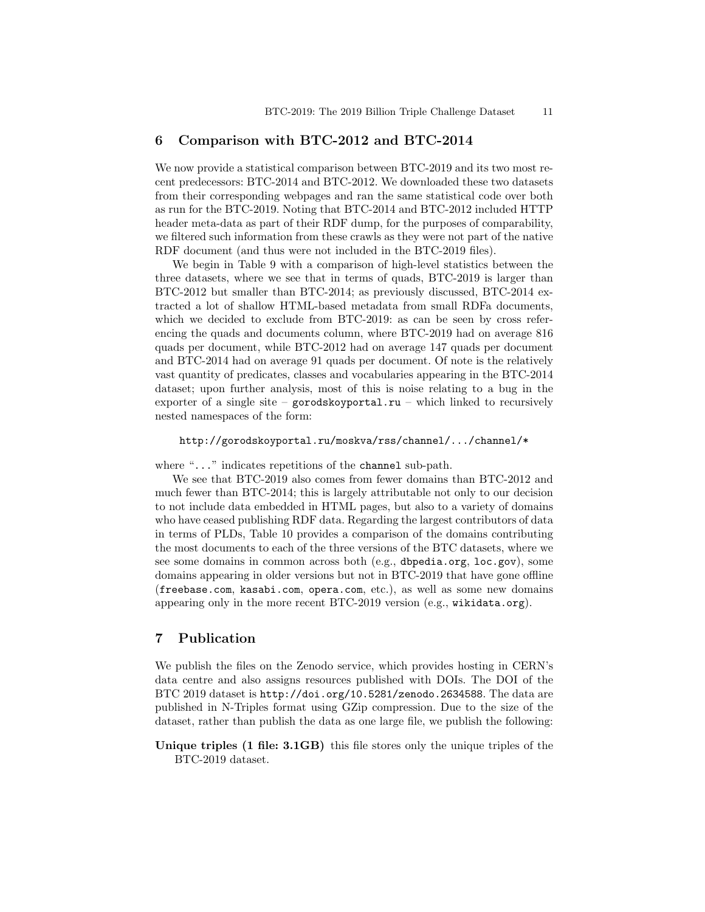# 6 Comparison with BTC-2012 and BTC-2014

We now provide a statistical comparison between BTC-2019 and its two most recent predecessors: BTC-2014 and BTC-2012. We downloaded these two datasets from their corresponding webpages and ran the same statistical code over both as run for the BTC-2019. Noting that BTC-2014 and BTC-2012 included HTTP header meta-data as part of their RDF dump, for the purposes of comparability, we filtered such information from these crawls as they were not part of the native RDF document (and thus were not included in the BTC-2019 files).

We begin in Table [9](#page-11-0) with a comparison of high-level statistics between the three datasets, where we see that in terms of quads, BTC-2019 is larger than BTC-2012 but smaller than BTC-2014; as previously discussed, BTC-2014 extracted a lot of shallow HTML-based metadata from small RDFa documents, which we decided to exclude from BTC-2019: as can be seen by cross referencing the quads and documents column, where BTC-2019 had on average 816 quads per document, while BTC-2012 had on average 147 quads per document and BTC-2014 had on average 91 quads per document. Of note is the relatively vast quantity of predicates, classes and vocabularies appearing in the BTC-2014 dataset; upon further analysis, most of this is noise relating to a bug in the exporter of a single site – gorodskoyportal.ru – which linked to recursively nested namespaces of the form:

#### http://gorodskoyportal.ru/moskva/rss/channel/.../channel/\*

where "..." indicates repetitions of the channel sub-path.

We see that BTC-2019 also comes from fewer domains than BTC-2012 and much fewer than BTC-2014; this is largely attributable not only to our decision to not include data embedded in HTML pages, but also to a variety of domains who have ceased publishing RDF data. Regarding the largest contributors of data in terms of PLDs, Table [10](#page-11-1) provides a comparison of the domains contributing the most documents to each of the three versions of the BTC datasets, where we see some domains in common across both (e.g., dbpedia.org, loc.gov), some domains appearing in older versions but not in BTC-2019 that have gone offline (freebase.com, kasabi.com, opera.com, etc.), as well as some new domains appearing only in the more recent BTC-2019 version (e.g., wikidata.org).

### 7 Publication

We publish the files on the Zenodo service, which provides hosting in CERN's data centre and also assigns resources published with DOIs. The DOI of the BTC 2019 dataset is <http://doi.org/10.5281/zenodo.2634588>. The data are published in N-Triples format using GZip compression. Due to the size of the dataset, rather than publish the data as one large file, we publish the following:

Unique triples (1 file: 3.1GB) this file stores only the unique triples of the BTC-2019 dataset.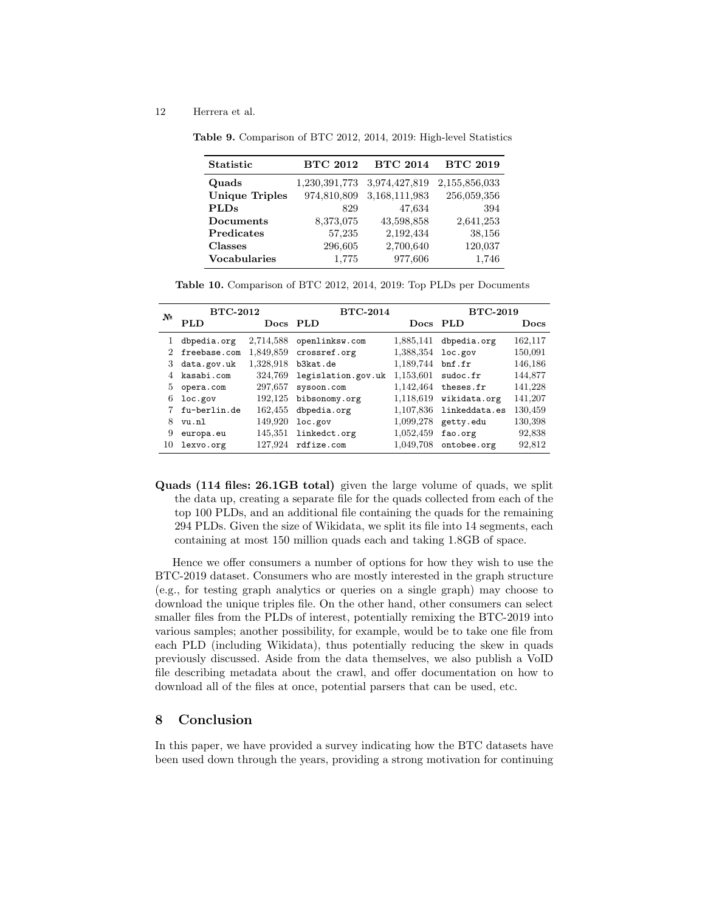| Table 9. Comparison of BTC 2012, 2014, 2019: High-level Statistics |  |  |  |  |
|--------------------------------------------------------------------|--|--|--|--|
|--------------------------------------------------------------------|--|--|--|--|

<span id="page-11-0"></span>

| <b>Statistic</b>      | <b>BTC 2012</b> | <b>BTC 2014</b> | <b>BTC 2019</b> |
|-----------------------|-----------------|-----------------|-----------------|
| Quads                 | 1,230,391,773   | 3,974,427,819   | 2,155,856,033   |
| <b>Unique Triples</b> | 974,810,809     | 3,168,111,983   | 256,059,356     |
| <b>PLDs</b>           | 829             | 47,634          | 394             |
| <b>Documents</b>      | 8,373,075       | 43,598,858      | 2,641,253       |
| Predicates            | 57,235          | 2,192,434       | 38,156          |
| <b>Classes</b>        | 296,605         | 2,700,640       | 120,037         |
| <b>Vocabularies</b>   | 1,775           | 977,606         | 1,746           |

<span id="page-11-1"></span>Table 10. Comparison of BTC 2012, 2014, 2019: Top PLDs per Documents

| N. | <b>BTC-2012</b> |           | <b>BTC-2014</b>    | <b>BTC-2019</b> |               |         |
|----|-----------------|-----------|--------------------|-----------------|---------------|---------|
|    | PLD             | Docs PLD  |                    | Docs PLD        |               | Docs    |
| 1  | dbpedia.org     | 2,714,588 | openlinksw.com     | 1,885,141       | dbpedia.org   | 162,117 |
| 2  | freebase.com    | 1,849,859 | crossref.org       | 1,388,354       | loc.gov       | 150,091 |
| 3  | data.gov.uk     | 1,328,918 | b3kat.de           | 1,189,744       | bnf.fr        | 146,186 |
| 4  | kasabi.com      | 324,769   | legislation.gov.uk | 1,153,601       | sudoc.fr      | 144,877 |
| 5  | opera.com       | 297,657   | sysoon.com         | 1.142.464       | theses.fr     | 141,228 |
| 6  | loc.gov         | 192,125   | bibsonomy.org      | 1,118,619       | wikidata.org  | 141,207 |
|    | fu-berlin.de    | 162,455   | dbpedia.org        | 1,107,836       | linkeddata.es | 130,459 |
| 8  | vu.nl           | 149,920   | loc.gov            | 1,099,278       | getty.edu     | 130,398 |
| 9  | europa.eu       | 145,351   | linkedct.org       | 1,052,459       | fao.org       | 92,838  |
| 10 | lexvo.org       | 127.924   | rdfize.com         | 1,049,708       | ontobee.org   | 92,812  |

Quads (114 files: 26.1GB total) given the large volume of quads, we split the data up, creating a separate file for the quads collected from each of the top 100 PLDs, and an additional file containing the quads for the remaining 294 PLDs. Given the size of Wikidata, we split its file into 14 segments, each containing at most 150 million quads each and taking 1.8GB of space.

Hence we offer consumers a number of options for how they wish to use the BTC-2019 dataset. Consumers who are mostly interested in the graph structure (e.g., for testing graph analytics or queries on a single graph) may choose to download the unique triples file. On the other hand, other consumers can select smaller files from the PLDs of interest, potentially remixing the BTC-2019 into various samples; another possibility, for example, would be to take one file from each PLD (including Wikidata), thus potentially reducing the skew in quads previously discussed. Aside from the data themselves, we also publish a VoID file describing metadata about the crawl, and offer documentation on how to download all of the files at once, potential parsers that can be used, etc.

# 8 Conclusion

In this paper, we have provided a survey indicating how the BTC datasets have been used down through the years, providing a strong motivation for continuing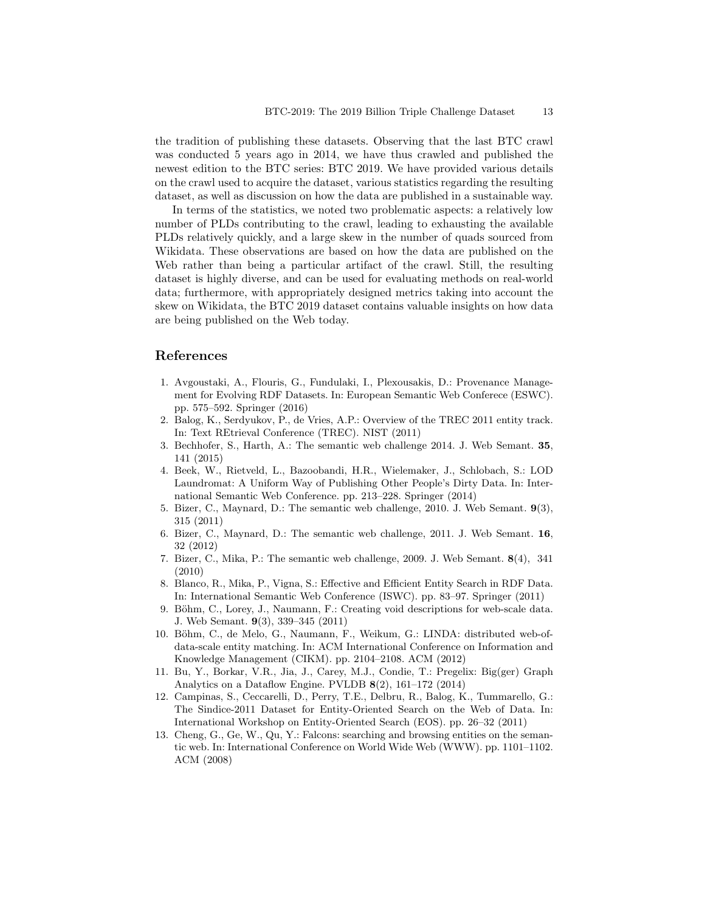the tradition of publishing these datasets. Observing that the last BTC crawl was conducted 5 years ago in 2014, we have thus crawled and published the newest edition to the BTC series: BTC 2019. We have provided various details on the crawl used to acquire the dataset, various statistics regarding the resulting dataset, as well as discussion on how the data are published in a sustainable way.

In terms of the statistics, we noted two problematic aspects: a relatively low number of PLDs contributing to the crawl, leading to exhausting the available PLDs relatively quickly, and a large skew in the number of quads sourced from Wikidata. These observations are based on how the data are published on the Web rather than being a particular artifact of the crawl. Still, the resulting dataset is highly diverse, and can be used for evaluating methods on real-world data; furthermore, with appropriately designed metrics taking into account the skew on Wikidata, the BTC 2019 dataset contains valuable insights on how data are being published on the Web today.

# References

- <span id="page-12-7"></span>1. Avgoustaki, A., Flouris, G., Fundulaki, I., Plexousakis, D.: Provenance Management for Evolving RDF Datasets. In: European Semantic Web Conferece (ESWC). pp. 575–592. Springer (2016)
- <span id="page-12-9"></span>2. Balog, K., Serdyukov, P., de Vries, A.P.: Overview of the TREC 2011 entity track. In: Text REtrieval Conference (TREC). NIST (2011)
- <span id="page-12-3"></span>3. Bechhofer, S., Harth, A.: The semantic web challenge 2014. J. Web Semant. 35, 141 (2015)
- <span id="page-12-12"></span>4. Beek, W., Rietveld, L., Bazoobandi, H.R., Wielemaker, J., Schlobach, S.: LOD Laundromat: A Uniform Way of Publishing Other People's Dirty Data. In: International Semantic Web Conference. pp. 213–228. Springer (2014)
- <span id="page-12-1"></span>5. Bizer, C., Maynard, D.: The semantic web challenge, 2010. J. Web Semant. 9(3), 315 (2011)
- <span id="page-12-2"></span>6. Bizer, C., Maynard, D.: The semantic web challenge, 2011. J. Web Semant. 16, 32 (2012)
- <span id="page-12-0"></span>7. Bizer, C., Mika, P.: The semantic web challenge, 2009. J. Web Semant. 8(4), 341 (2010)
- <span id="page-12-5"></span>8. Blanco, R., Mika, P., Vigna, S.: Effective and Efficient Entity Search in RDF Data. In: International Semantic Web Conference (ISWC). pp. 83–97. Springer (2011)
- <span id="page-12-8"></span>9. Böhm, C., Lorey, J., Naumann, F.: Creating void descriptions for web-scale data. J. Web Semant. 9(3), 339–345 (2011)
- <span id="page-12-6"></span>10. Böhm, C., de Melo, G., Naumann, F., Weikum, G.: LINDA: distributed web-ofdata-scale entity matching. In: ACM International Conference on Information and Knowledge Management (CIKM). pp. 2104–2108. ACM (2012)
- <span id="page-12-4"></span>11. Bu, Y., Borkar, V.R., Jia, J., Carey, M.J., Condie, T.: Pregelix: Big(ger) Graph Analytics on a Dataflow Engine. PVLDB 8(2), 161–172 (2014)
- <span id="page-12-11"></span>12. Campinas, S., Ceccarelli, D., Perry, T.E., Delbru, R., Balog, K., Tummarello, G.: The Sindice-2011 Dataset for Entity-Oriented Search on the Web of Data. In: International Workshop on Entity-Oriented Search (EOS). pp. 26–32 (2011)
- <span id="page-12-10"></span>13. Cheng, G., Ge, W., Qu, Y.: Falcons: searching and browsing entities on the semantic web. In: International Conference on World Wide Web (WWW). pp. 1101–1102. ACM (2008)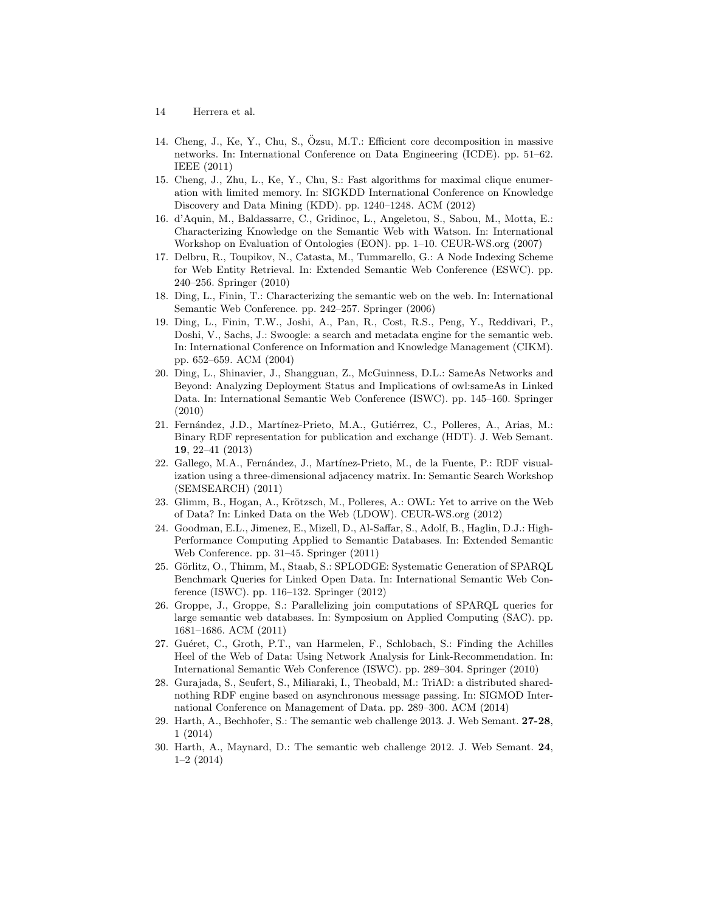- 14 Herrera et al.
- <span id="page-13-4"></span>14. Cheng, J., Ke, Y., Chu, S., Ozsu, M.T.: Efficient core decomposition in massive ¨ networks. In: International Conference on Data Engineering (ICDE). pp. 51–62. IEEE (2011)
- <span id="page-13-5"></span>15. Cheng, J., Zhu, L., Ke, Y., Chu, S.: Fast algorithms for maximal clique enumeration with limited memory. In: SIGKDD International Conference on Knowledge Discovery and Data Mining (KDD). pp. 1240–1248. ACM (2012)
- <span id="page-13-15"></span>16. d'Aquin, M., Baldassarre, C., Gridinoc, L., Angeletou, S., Sabou, M., Motta, E.: Characterizing Knowledge on the Semantic Web with Watson. In: International Workshop on Evaluation of Ontologies (EON). pp. 1–10. CEUR-WS.org (2007)
- <span id="page-13-6"></span>17. Delbru, R., Toupikov, N., Catasta, M., Tummarello, G.: A Node Indexing Scheme for Web Entity Retrieval. In: Extended Semantic Web Conference (ESWC). pp. 240–256. Springer (2010)
- <span id="page-13-16"></span>18. Ding, L., Finin, T.: Characterizing the semantic web on the web. In: International Semantic Web Conference. pp. 242–257. Springer (2006)
- <span id="page-13-14"></span>19. Ding, L., Finin, T.W., Joshi, A., Pan, R., Cost, R.S., Peng, Y., Reddivari, P., Doshi, V., Sachs, J.: Swoogle: a search and metadata engine for the semantic web. In: International Conference on Information and Knowledge Management (CIKM). pp. 652–659. ACM (2004)
- <span id="page-13-11"></span>20. Ding, L., Shinavier, J., Shangguan, Z., McGuinness, D.L.: SameAs Networks and Beyond: Analyzing Deployment Status and Implications of owl:sameAs in Linked Data. In: International Semantic Web Conference (ISWC). pp. 145–160. Springer (2010)
- <span id="page-13-7"></span>21. Fernández, J.D., Martínez-Prieto, M.A., Gutiérrez, C., Polleres, A., Arias, M.: Binary RDF representation for publication and exchange (HDT). J. Web Semant. 19, 22–41 (2013)
- <span id="page-13-8"></span>22. Gallego, M.A., Fernández, J., Martínez-Prieto, M., de la Fuente, P.: RDF visualization using a three-dimensional adjacency matrix. In: Semantic Search Workshop (SEMSEARCH) (2011)
- <span id="page-13-10"></span>23. Glimm, B., Hogan, A., Krötzsch, M., Polleres, A.: OWL: Yet to arrive on the Web of Data? In: Linked Data on the Web (LDOW). CEUR-WS.org (2012)
- <span id="page-13-9"></span>24. Goodman, E.L., Jimenez, E., Mizell, D., Al-Saffar, S., Adolf, B., Haglin, D.J.: High-Performance Computing Applied to Semantic Databases. In: Extended Semantic Web Conference. pp. 31–45. Springer (2011)
- <span id="page-13-1"></span>25. Görlitz, O., Thimm, M., Staab, S.: SPLODGE: Systematic Generation of SPARQL Benchmark Queries for Linked Open Data. In: International Semantic Web Conference (ISWC). pp. 116–132. Springer (2012)
- <span id="page-13-2"></span>26. Groppe, J., Groppe, S.: Parallelizing join computations of SPARQL queries for large semantic web databases. In: Symposium on Applied Computing (SAC). pp. 1681–1686. ACM (2011)
- <span id="page-13-12"></span>27. Guéret, C., Groth, P.T., van Harmelen, F., Schlobach, S.: Finding the Achilles Heel of the Web of Data: Using Network Analysis for Link-Recommendation. In: International Semantic Web Conference (ISWC). pp. 289–304. Springer (2010)
- <span id="page-13-3"></span>28. Gurajada, S., Seufert, S., Miliaraki, I., Theobald, M.: TriAD: a distributed sharednothing RDF engine based on asynchronous message passing. In: SIGMOD International Conference on Management of Data. pp. 289–300. ACM (2014)
- <span id="page-13-13"></span>29. Harth, A., Bechhofer, S.: The semantic web challenge 2013. J. Web Semant. 27-28, 1 (2014)
- <span id="page-13-0"></span>30. Harth, A., Maynard, D.: The semantic web challenge 2012. J. Web Semant. 24, 1–2 (2014)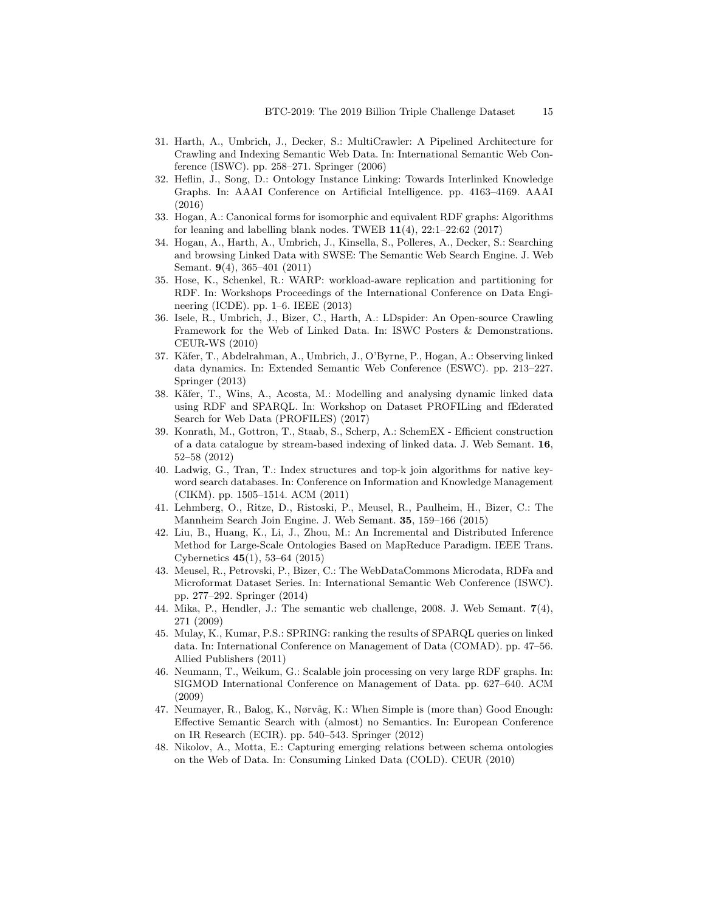- <span id="page-14-12"></span>31. Harth, A., Umbrich, J., Decker, S.: MultiCrawler: A Pipelined Architecture for Crawling and Indexing Semantic Web Data. In: International Semantic Web Conference (ISWC). pp. 258–271. Springer (2006)
- <span id="page-14-6"></span>32. Heflin, J., Song, D.: Ontology Instance Linking: Towards Interlinked Knowledge Graphs. In: AAAI Conference on Artificial Intelligence. pp. 4163–4169. AAAI (2016)
- <span id="page-14-3"></span>33. Hogan, A.: Canonical forms for isomorphic and equivalent RDF graphs: Algorithms for leaning and labelling blank nodes. TWEB  $11(4)$ ,  $22:1-22:62$  (2017)
- <span id="page-14-17"></span>34. Hogan, A., Harth, A., Umbrich, J., Kinsella, S., Polleres, A., Decker, S.: Searching and browsing Linked Data with SWSE: The Semantic Web Search Engine. J. Web Semant. 9(4), 365–401 (2011)
- <span id="page-14-2"></span>35. Hose, K., Schenkel, R.: WARP: workload-aware replication and partitioning for RDF. In: Workshops Proceedings of the International Conference on Data Engineering (ICDE). pp. 1–6. IEEE (2013)
- <span id="page-14-15"></span>36. Isele, R., Umbrich, J., Bizer, C., Harth, A.: LDspider: An Open-source Crawling Framework for the Web of Linked Data. In: ISWC Posters & Demonstrations. CEUR-WS (2010)
- <span id="page-14-13"></span>37. Käfer, T., Abdelrahman, A., Umbrich, J., O'Byrne, P., Hogan, A.: Observing linked data dynamics. In: Extended Semantic Web Conference (ESWC). pp. 213–227. Springer (2013)
- <span id="page-14-16"></span>38. Käfer, T., Wins, A., Acosta, M.: Modelling and analysing dynamic linked data using RDF and SPARQL. In: Workshop on Dataset PROFILing and fEderated Search for Web Data (PROFILES) (2017)
- <span id="page-14-8"></span>39. Konrath, M., Gottron, T., Staab, S., Scherp, A.: SchemEX - Efficient construction of a data catalogue by stream-based indexing of linked data. J. Web Semant. 16, 52–58 (2012)
- <span id="page-14-4"></span>40. Ladwig, G., Tran, T.: Index structures and top-k join algorithms for native keyword search databases. In: Conference on Information and Knowledge Management (CIKM). pp. 1505–1514. ACM (2011)
- <span id="page-14-9"></span>41. Lehmberg, O., Ritze, D., Ristoski, P., Meusel, R., Paulheim, H., Bizer, C.: The Mannheim Search Join Engine. J. Web Semant. 35, 159–166 (2015)
- <span id="page-14-7"></span>42. Liu, B., Huang, K., Li, J., Zhou, M.: An Incremental and Distributed Inference Method for Large-Scale Ontologies Based on MapReduce Paradigm. IEEE Trans. Cybernetics 45(1), 53–64 (2015)
- <span id="page-14-14"></span>43. Meusel, R., Petrovski, P., Bizer, C.: The WebDataCommons Microdata, RDFa and Microformat Dataset Series. In: International Semantic Web Conference (ISWC). pp. 277–292. Springer (2014)
- <span id="page-14-0"></span>44. Mika, P., Hendler, J.: The semantic web challenge, 2008. J. Web Semant. 7(4), 271 (2009)
- <span id="page-14-10"></span>45. Mulay, K., Kumar, P.S.: SPRING: ranking the results of SPARQL queries on linked data. In: International Conference on Management of Data (COMAD). pp. 47–56. Allied Publishers (2011)
- <span id="page-14-1"></span>46. Neumann, T., Weikum, G.: Scalable join processing on very large RDF graphs. In: SIGMOD International Conference on Management of Data. pp. 627–640. ACM (2009)
- <span id="page-14-5"></span>47. Neumayer, R., Balog, K., Nørvåg, K.: When Simple is (more than) Good Enough: Effective Semantic Search with (almost) no Semantics. In: European Conference on IR Research (ECIR). pp. 540–543. Springer (2012)
- <span id="page-14-11"></span>48. Nikolov, A., Motta, E.: Capturing emerging relations between schema ontologies on the Web of Data. In: Consuming Linked Data (COLD). CEUR (2010)